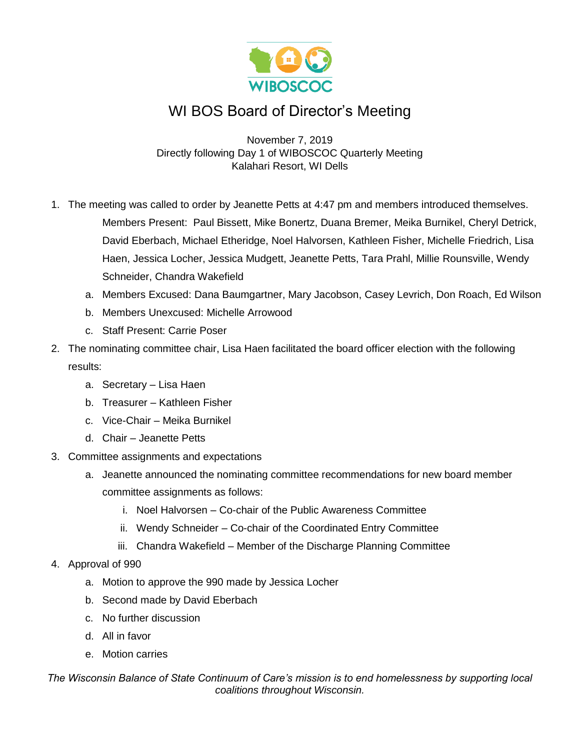

## WI BOS Board of Director's Meeting

November 7, 2019 Directly following Day 1 of WIBOSCOC Quarterly Meeting Kalahari Resort, WI Dells

- 1. The meeting was called to order by Jeanette Petts at 4:47 pm and members introduced themselves. Members Present: Paul Bissett, Mike Bonertz, Duana Bremer, Meika Burnikel, Cheryl Detrick, David Eberbach, Michael Etheridge, Noel Halvorsen, Kathleen Fisher, Michelle Friedrich, Lisa Haen, Jessica Locher, Jessica Mudgett, Jeanette Petts, Tara Prahl, Millie Rounsville, Wendy Schneider, Chandra Wakefield
	- a. Members Excused: Dana Baumgartner, Mary Jacobson, Casey Levrich, Don Roach, Ed Wilson
	- b. Members Unexcused: Michelle Arrowood
	- c. Staff Present: Carrie Poser
- 2. The nominating committee chair, Lisa Haen facilitated the board officer election with the following results:
	- a. Secretary Lisa Haen
	- b. Treasurer Kathleen Fisher
	- c. Vice-Chair Meika Burnikel
	- d. Chair Jeanette Petts
- 3. Committee assignments and expectations
	- a. Jeanette announced the nominating committee recommendations for new board member committee assignments as follows:
		- i. Noel Halvorsen Co-chair of the Public Awareness Committee
		- ii. Wendy Schneider Co-chair of the Coordinated Entry Committee
		- iii. Chandra Wakefield Member of the Discharge Planning Committee
- 4. Approval of 990
	- a. Motion to approve the 990 made by Jessica Locher
	- b. Second made by David Eberbach
	- c. No further discussion
	- d. All in favor
	- e. Motion carries

*The Wisconsin Balance of State Continuum of Care's mission is to end homelessness by supporting local coalitions throughout Wisconsin.*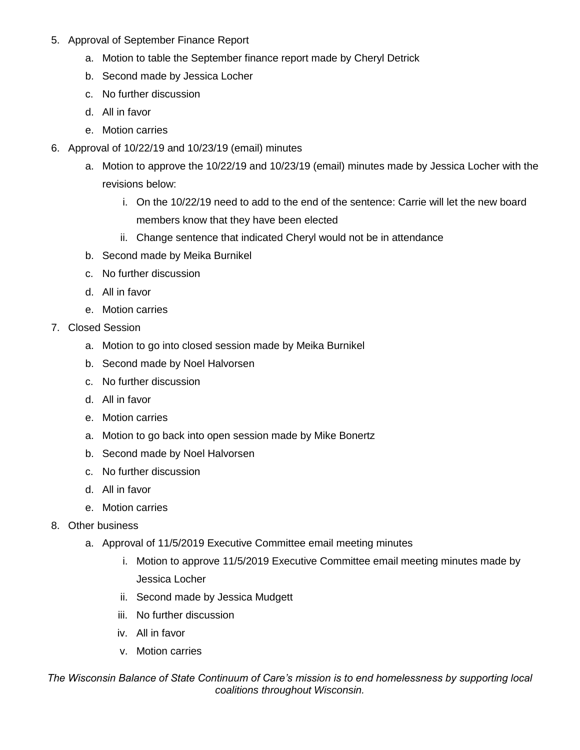- 5. Approval of September Finance Report
	- a. Motion to table the September finance report made by Cheryl Detrick
	- b. Second made by Jessica Locher
	- c. No further discussion
	- d. All in favor
	- e. Motion carries
- 6. Approval of 10/22/19 and 10/23/19 (email) minutes
	- a. Motion to approve the 10/22/19 and 10/23/19 (email) minutes made by Jessica Locher with the revisions below:
		- i. On the 10/22/19 need to add to the end of the sentence: Carrie will let the new board members know that they have been elected
		- ii. Change sentence that indicated Cheryl would not be in attendance
	- b. Second made by Meika Burnikel
	- c. No further discussion
	- d. All in favor
	- e. Motion carries
- 7. Closed Session
	- a. Motion to go into closed session made by Meika Burnikel
	- b. Second made by Noel Halvorsen
	- c. No further discussion
	- d. All in favor
	- e. Motion carries
	- a. Motion to go back into open session made by Mike Bonertz
	- b. Second made by Noel Halvorsen
	- c. No further discussion
	- d. All in favor
	- e. Motion carries
- 8. Other business
	- a. Approval of 11/5/2019 Executive Committee email meeting minutes
		- i. Motion to approve 11/5/2019 Executive Committee email meeting minutes made by Jessica Locher
		- ii. Second made by Jessica Mudgett
		- iii. No further discussion
		- iv. All in favor
		- v. Motion carries

*The Wisconsin Balance of State Continuum of Care's mission is to end homelessness by supporting local coalitions throughout Wisconsin.*